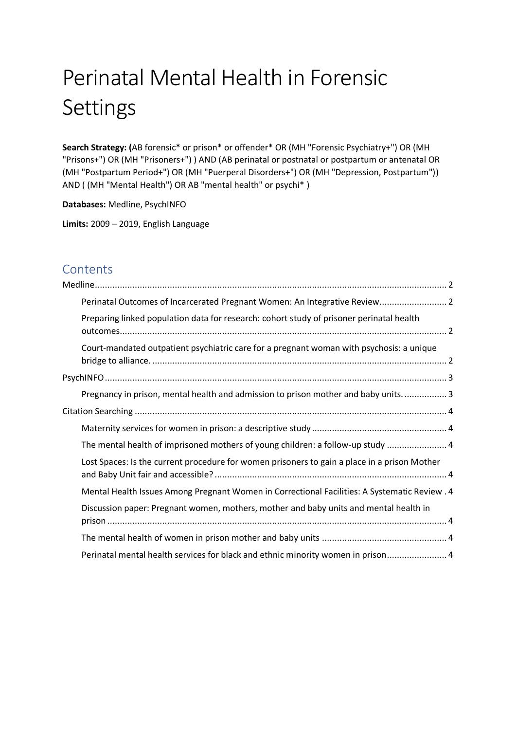# Perinatal Mental Health in Forensic Settings

**Search Strategy: (**AB forensic\* or prison\* or offender\* OR (MH "Forensic Psychiatry+") OR (MH "Prisons+") OR (MH "Prisoners+") ) AND (AB perinatal or postnatal or postpartum or antenatal OR (MH "Postpartum Period+") OR (MH "Puerperal Disorders+") OR (MH "Depression, Postpartum")) AND ( (MH "Mental Health") OR AB "mental health" or psychi\* )

**Databases:** Medline, PsychINFO

**Limits:** 2009 – 2019, English Language

# **Contents**

| Perinatal Outcomes of Incarcerated Pregnant Women: An Integrative Review 2                    |  |
|-----------------------------------------------------------------------------------------------|--|
| Preparing linked population data for research: cohort study of prisoner perinatal health      |  |
| Court-mandated outpatient psychiatric care for a pregnant woman with psychosis: a unique      |  |
|                                                                                               |  |
| Pregnancy in prison, mental health and admission to prison mother and baby units 3            |  |
|                                                                                               |  |
|                                                                                               |  |
| The mental health of imprisoned mothers of young children: a follow-up study  4               |  |
| Lost Spaces: Is the current procedure for women prisoners to gain a place in a prison Mother  |  |
| Mental Health Issues Among Pregnant Women in Correctional Facilities: A Systematic Review . 4 |  |
| Discussion paper: Pregnant women, mothers, mother and baby units and mental health in         |  |
|                                                                                               |  |
| Perinatal mental health services for black and ethnic minority women in prison 4              |  |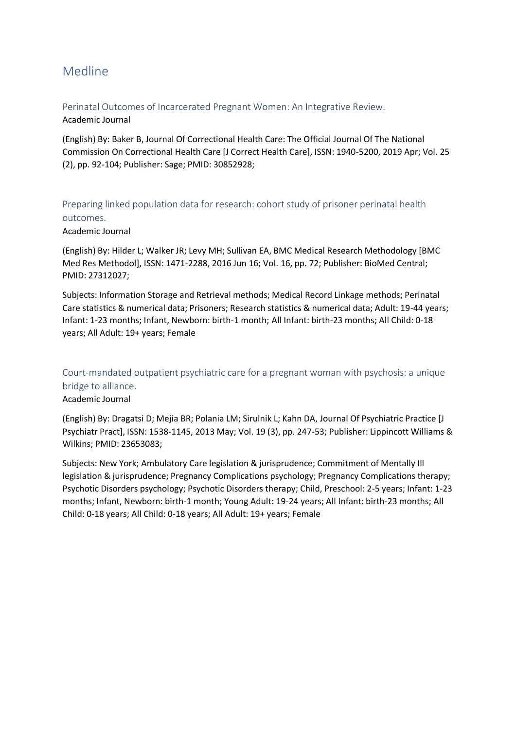## <span id="page-1-0"></span>Medline

#### <span id="page-1-1"></span>Perinatal Outcomes of Incarcerated Pregnant Women: An Integrative Review. Academic Journal

(English) By: Baker B, Journal Of Correctional Health Care: The Official Journal Of The National Commission On Correctional Health Care [J Correct Health Care], ISSN: 1940-5200, 2019 Apr; Vol. 25 (2), pp. 92-104; Publisher: Sage; PMID: 30852928;

### <span id="page-1-2"></span>Preparing linked population data for research: cohort study of prisoner perinatal health outcomes.

#### Academic Journal

(English) By: Hilder L; Walker JR; Levy MH; Sullivan EA, BMC Medical Research Methodology [BMC Med Res Methodol], ISSN: 1471-2288, 2016 Jun 16; Vol. 16, pp. 72; Publisher: BioMed Central; PMID: 27312027;

Subjects: Information Storage and Retrieval methods; Medical Record Linkage methods; Perinatal Care statistics & numerical data; Prisoners; Research statistics & numerical data; Adult: 19-44 years; Infant: 1-23 months; Infant, Newborn: birth-1 month; All Infant: birth-23 months; All Child: 0-18 years; All Adult: 19+ years; Female

## <span id="page-1-3"></span>Court-mandated outpatient psychiatric care for a pregnant woman with psychosis: a unique bridge to alliance.

#### Academic Journal

(English) By: Dragatsi D; Mejia BR; Polania LM; Sirulnik L; Kahn DA, Journal Of Psychiatric Practice [J Psychiatr Pract], ISSN: 1538-1145, 2013 May; Vol. 19 (3), pp. 247-53; Publisher: Lippincott Williams & Wilkins; PMID: 23653083;

Subjects: New York; Ambulatory Care legislation & jurisprudence; Commitment of Mentally Ill legislation & jurisprudence; Pregnancy Complications psychology; Pregnancy Complications therapy; Psychotic Disorders psychology; Psychotic Disorders therapy; Child, Preschool: 2-5 years; Infant: 1-23 months; Infant, Newborn: birth-1 month; Young Adult: 19-24 years; All Infant: birth-23 months; All Child: 0-18 years; All Child: 0-18 years; All Adult: 19+ years; Female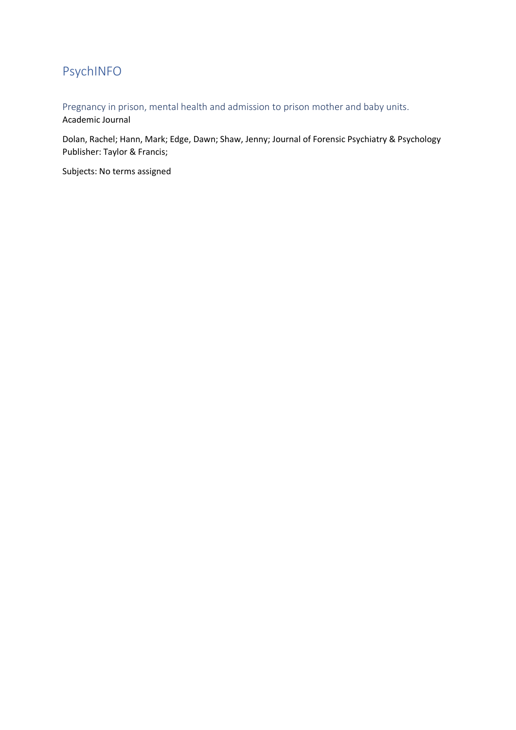# <span id="page-2-0"></span>PsychINFO

<span id="page-2-1"></span>Pregnancy in prison, mental health and admission to prison mother and baby units. Academic Journal

Dolan, Rachel; Hann, Mark; Edge, Dawn; Shaw, Jenny; Journal of Forensic Psychiatry & Psychology Publisher: Taylor & Francis;

Subjects: No terms assigned